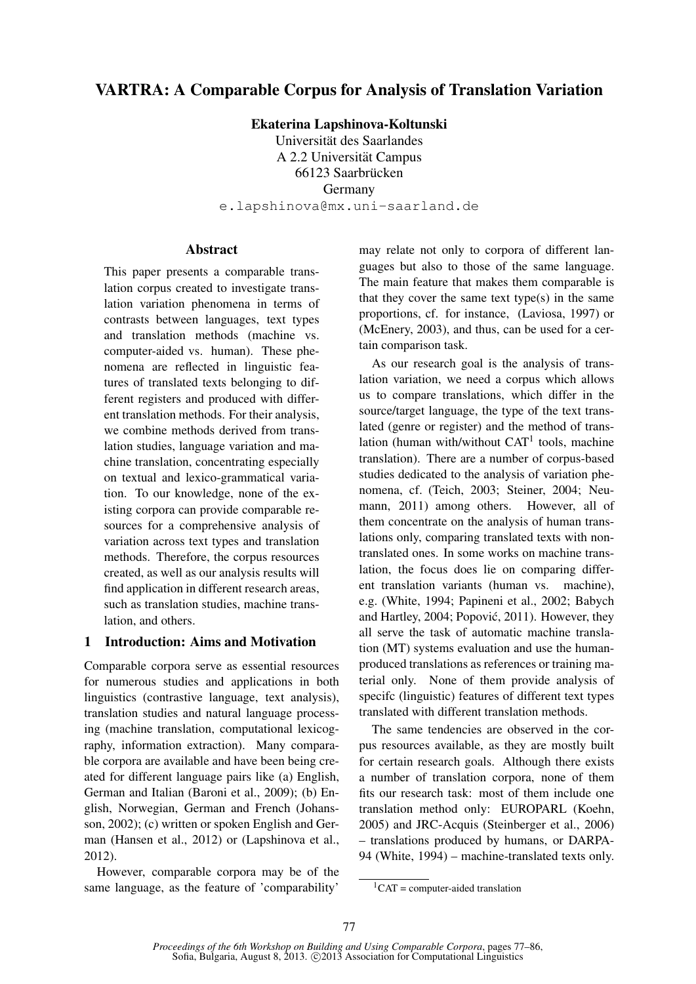# VARTRA: A Comparable Corpus for Analysis of Translation Variation

Ekaterina Lapshinova-Koltunski

Universität des Saarlandes A 2.2 Universitat Campus ¨ 66123 Saarbrücken Germany e.lapshinova@mx.uni-saarland.de

## Abstract

This paper presents a comparable translation corpus created to investigate translation variation phenomena in terms of contrasts between languages, text types and translation methods (machine vs. computer-aided vs. human). These phenomena are reflected in linguistic features of translated texts belonging to different registers and produced with different translation methods. For their analysis, we combine methods derived from translation studies, language variation and machine translation, concentrating especially on textual and lexico-grammatical variation. To our knowledge, none of the existing corpora can provide comparable resources for a comprehensive analysis of variation across text types and translation methods. Therefore, the corpus resources created, as well as our analysis results will find application in different research areas, such as translation studies, machine translation, and others.

## 1 Introduction: Aims and Motivation

Comparable corpora serve as essential resources for numerous studies and applications in both linguistics (contrastive language, text analysis), translation studies and natural language processing (machine translation, computational lexicography, information extraction). Many comparable corpora are available and have been being created for different language pairs like (a) English, German and Italian (Baroni et al., 2009); (b) English, Norwegian, German and French (Johansson, 2002); (c) written or spoken English and German (Hansen et al., 2012) or (Lapshinova et al., 2012).

However, comparable corpora may be of the same language, as the feature of 'comparability'

may relate not only to corpora of different languages but also to those of the same language. The main feature that makes them comparable is that they cover the same text type $(s)$  in the same proportions, cf. for instance, (Laviosa, 1997) or (McEnery, 2003), and thus, can be used for a certain comparison task.

As our research goal is the analysis of translation variation, we need a corpus which allows us to compare translations, which differ in the source/target language, the type of the text translated (genre or register) and the method of translation (human with/without  $CAT<sup>1</sup>$  tools, machine translation). There are a number of corpus-based studies dedicated to the analysis of variation phenomena, cf. (Teich, 2003; Steiner, 2004; Neumann, 2011) among others. However, all of them concentrate on the analysis of human translations only, comparing translated texts with nontranslated ones. In some works on machine translation, the focus does lie on comparing different translation variants (human vs. machine), e.g. (White, 1994; Papineni et al., 2002; Babych and Hartley, 2004; Popovic, 2011). However, they ´ all serve the task of automatic machine translation (MT) systems evaluation and use the humanproduced translations as references or training material only. None of them provide analysis of specifc (linguistic) features of different text types translated with different translation methods.

The same tendencies are observed in the corpus resources available, as they are mostly built for certain research goals. Although there exists a number of translation corpora, none of them fits our research task: most of them include one translation method only: EUROPARL (Koehn, 2005) and JRC-Acquis (Steinberger et al., 2006) – translations produced by humans, or DARPA-94 (White, 1994) – machine-translated texts only.

 ${}^{1}$ CAT = computer-aided translation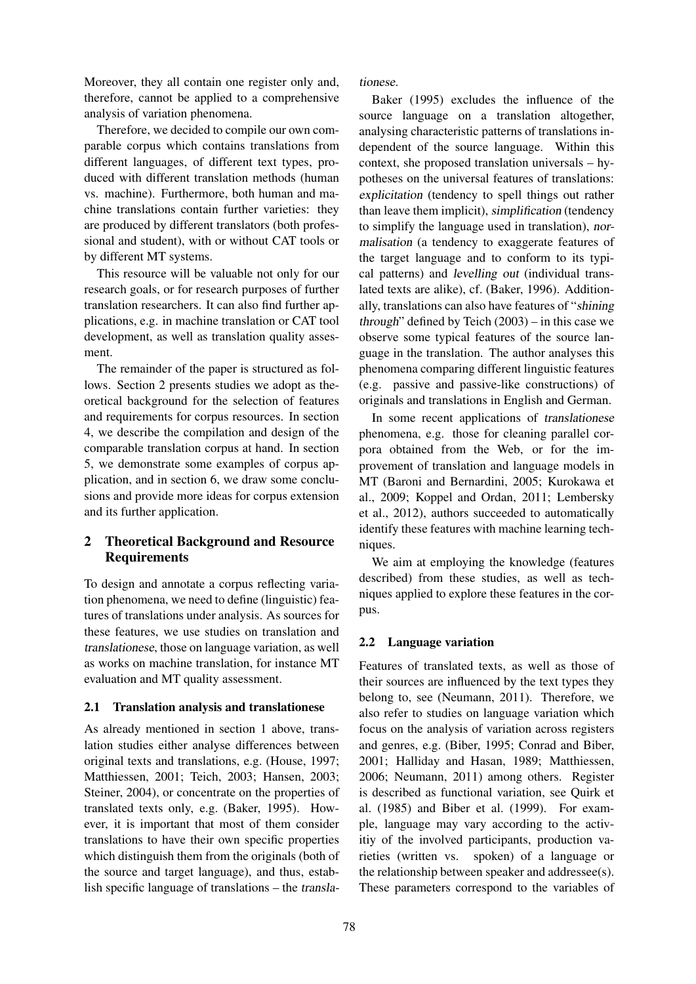Moreover, they all contain one register only and, therefore, cannot be applied to a comprehensive analysis of variation phenomena.

Therefore, we decided to compile our own comparable corpus which contains translations from different languages, of different text types, produced with different translation methods (human vs. machine). Furthermore, both human and machine translations contain further varieties: they are produced by different translators (both professional and student), with or without CAT tools or by different MT systems.

This resource will be valuable not only for our research goals, or for research purposes of further translation researchers. It can also find further applications, e.g. in machine translation or CAT tool development, as well as translation quality assesment.

The remainder of the paper is structured as follows. Section 2 presents studies we adopt as theoretical background for the selection of features and requirements for corpus resources. In section 4, we describe the compilation and design of the comparable translation corpus at hand. In section 5, we demonstrate some examples of corpus application, and in section 6, we draw some conclusions and provide more ideas for corpus extension and its further application.

## 2 Theoretical Background and Resource Requirements

To design and annotate a corpus reflecting variation phenomena, we need to define (linguistic) features of translations under analysis. As sources for these features, we use studies on translation and translationese, those on language variation, as well as works on machine translation, for instance MT evaluation and MT quality assessment.

## 2.1 Translation analysis and translationese

As already mentioned in section 1 above, translation studies either analyse differences between original texts and translations, e.g. (House, 1997; Matthiessen, 2001; Teich, 2003; Hansen, 2003; Steiner, 2004), or concentrate on the properties of translated texts only, e.g. (Baker, 1995). However, it is important that most of them consider translations to have their own specific properties which distinguish them from the originals (both of the source and target language), and thus, establish specific language of translations – the translationese.

Baker (1995) excludes the influence of the source language on a translation altogether, analysing characteristic patterns of translations independent of the source language. Within this context, she proposed translation universals – hypotheses on the universal features of translations: explicitation (tendency to spell things out rather than leave them implicit), simplification (tendency to simplify the language used in translation), normalisation (a tendency to exaggerate features of the target language and to conform to its typical patterns) and levelling out (individual translated texts are alike), cf. (Baker, 1996). Additionally, translations can also have features of "shining through" defined by Teich (2003) – in this case we observe some typical features of the source language in the translation. The author analyses this phenomena comparing different linguistic features (e.g. passive and passive-like constructions) of originals and translations in English and German.

In some recent applications of translationese phenomena, e.g. those for cleaning parallel corpora obtained from the Web, or for the improvement of translation and language models in MT (Baroni and Bernardini, 2005; Kurokawa et al., 2009; Koppel and Ordan, 2011; Lembersky et al., 2012), authors succeeded to automatically identify these features with machine learning techniques.

We aim at employing the knowledge (features described) from these studies, as well as techniques applied to explore these features in the corpus.

## 2.2 Language variation

Features of translated texts, as well as those of their sources are influenced by the text types they belong to, see (Neumann, 2011). Therefore, we also refer to studies on language variation which focus on the analysis of variation across registers and genres, e.g. (Biber, 1995; Conrad and Biber, 2001; Halliday and Hasan, 1989; Matthiessen, 2006; Neumann, 2011) among others. Register is described as functional variation, see Quirk et al. (1985) and Biber et al. (1999). For example, language may vary according to the activitiy of the involved participants, production varieties (written vs. spoken) of a language or the relationship between speaker and addressee(s). These parameters correspond to the variables of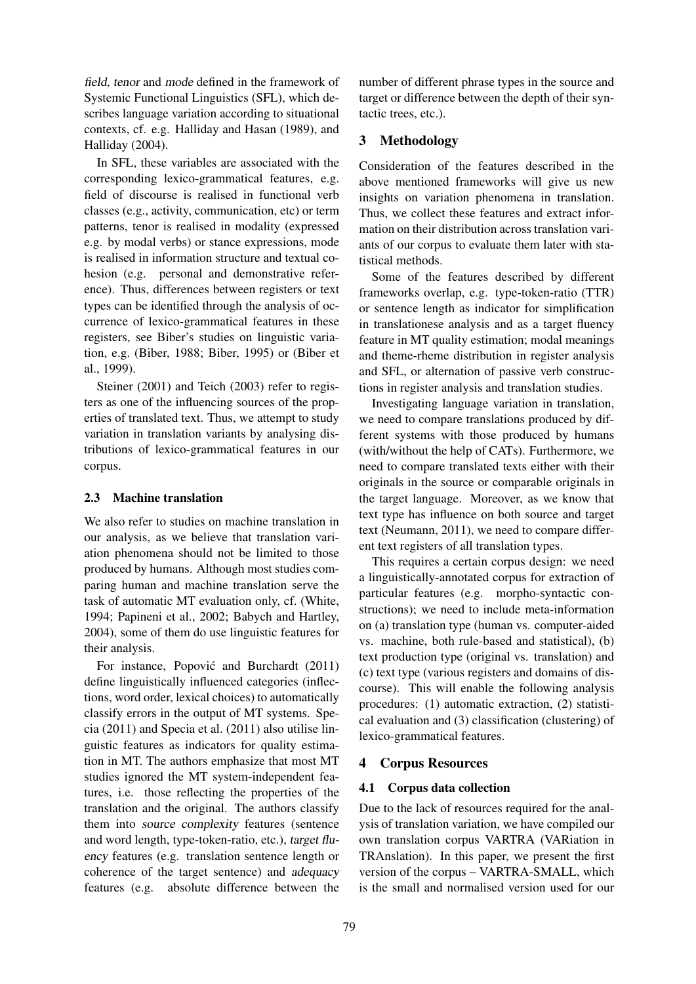field, tenor and mode defined in the framework of Systemic Functional Linguistics (SFL), which describes language variation according to situational contexts, cf. e.g. Halliday and Hasan (1989), and Halliday (2004).

In SFL, these variables are associated with the corresponding lexico-grammatical features, e.g. field of discourse is realised in functional verb classes (e.g., activity, communication, etc) or term patterns, tenor is realised in modality (expressed e.g. by modal verbs) or stance expressions, mode is realised in information structure and textual cohesion (e.g. personal and demonstrative reference). Thus, differences between registers or text types can be identified through the analysis of occurrence of lexico-grammatical features in these registers, see Biber's studies on linguistic variation, e.g. (Biber, 1988; Biber, 1995) or (Biber et al., 1999).

Steiner (2001) and Teich (2003) refer to registers as one of the influencing sources of the properties of translated text. Thus, we attempt to study variation in translation variants by analysing distributions of lexico-grammatical features in our corpus.

## 2.3 Machine translation

We also refer to studies on machine translation in our analysis, as we believe that translation variation phenomena should not be limited to those produced by humans. Although most studies comparing human and machine translation serve the task of automatic MT evaluation only, cf. (White, 1994; Papineni et al., 2002; Babych and Hartley, 2004), some of them do use linguistic features for their analysis.

For instance, Popović and Burchardt (2011) define linguistically influenced categories (inflections, word order, lexical choices) to automatically classify errors in the output of MT systems. Specia (2011) and Specia et al. (2011) also utilise linguistic features as indicators for quality estimation in MT. The authors emphasize that most MT studies ignored the MT system-independent features, i.e. those reflecting the properties of the translation and the original. The authors classify them into source complexity features (sentence and word length, type-token-ratio, etc.), target fluency features (e.g. translation sentence length or coherence of the target sentence) and adequacy features (e.g. absolute difference between the

number of different phrase types in the source and target or difference between the depth of their syntactic trees, etc.).

## 3 Methodology

Consideration of the features described in the above mentioned frameworks will give us new insights on variation phenomena in translation. Thus, we collect these features and extract information on their distribution across translation variants of our corpus to evaluate them later with statistical methods.

Some of the features described by different frameworks overlap, e.g. type-token-ratio (TTR) or sentence length as indicator for simplification in translationese analysis and as a target fluency feature in MT quality estimation; modal meanings and theme-rheme distribution in register analysis and SFL, or alternation of passive verb constructions in register analysis and translation studies.

Investigating language variation in translation, we need to compare translations produced by different systems with those produced by humans (with/without the help of CATs). Furthermore, we need to compare translated texts either with their originals in the source or comparable originals in the target language. Moreover, as we know that text type has influence on both source and target text (Neumann, 2011), we need to compare different text registers of all translation types.

This requires a certain corpus design: we need a linguistically-annotated corpus for extraction of particular features (e.g. morpho-syntactic constructions); we need to include meta-information on (a) translation type (human vs. computer-aided vs. machine, both rule-based and statistical), (b) text production type (original vs. translation) and (c) text type (various registers and domains of discourse). This will enable the following analysis procedures: (1) automatic extraction, (2) statistical evaluation and (3) classification (clustering) of lexico-grammatical features.

## 4 Corpus Resources

## 4.1 Corpus data collection

Due to the lack of resources required for the analysis of translation variation, we have compiled our own translation corpus VARTRA (VARiation in TRAnslation). In this paper, we present the first version of the corpus – VARTRA-SMALL, which is the small and normalised version used for our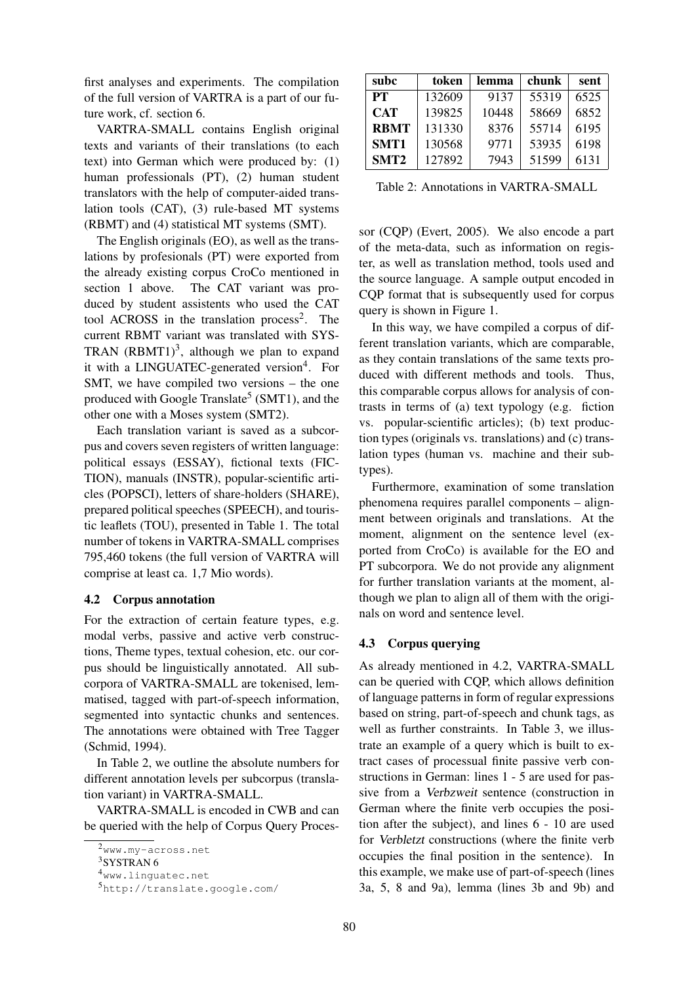first analyses and experiments. The compilation of the full version of VARTRA is a part of our future work, cf. section 6.

VARTRA-SMALL contains English original texts and variants of their translations (to each text) into German which were produced by: (1) human professionals (PT), (2) human student translators with the help of computer-aided translation tools (CAT), (3) rule-based MT systems (RBMT) and (4) statistical MT systems (SMT).

The English originals (EO), as well as the translations by profesionals (PT) were exported from the already existing corpus CroCo mentioned in section 1 above. The CAT variant was produced by student assistents who used the CAT tool ACROSS in the translation process<sup>2</sup>. The current RBMT variant was translated with SYS-TRAN  $(RBMT1)^3$ , although we plan to expand it with a LINGUATEC-generated version<sup>4</sup>. For SMT, we have compiled two versions – the one produced with Google Translate<sup>5</sup> (SMT1), and the other one with a Moses system (SMT2).

Each translation variant is saved as a subcorpus and covers seven registers of written language: political essays (ESSAY), fictional texts (FIC-TION), manuals (INSTR), popular-scientific articles (POPSCI), letters of share-holders (SHARE), prepared political speeches (SPEECH), and touristic leaflets (TOU), presented in Table 1. The total number of tokens in VARTRA-SMALL comprises 795,460 tokens (the full version of VARTRA will comprise at least ca. 1,7 Mio words).

#### 4.2 Corpus annotation

For the extraction of certain feature types, e.g. modal verbs, passive and active verb constructions, Theme types, textual cohesion, etc. our corpus should be linguistically annotated. All subcorpora of VARTRA-SMALL are tokenised, lemmatised, tagged with part-of-speech information, segmented into syntactic chunks and sentences. The annotations were obtained with Tree Tagger (Schmid, 1994).

In Table 2, we outline the absolute numbers for different annotation levels per subcorpus (translation variant) in VARTRA-SMALL.

VARTRA-SMALL is encoded in CWB and can be queried with the help of Corpus Query Proces-

| subc             | token  | lemma | chunk | sent |
|------------------|--------|-------|-------|------|
| PT               | 132609 | 9137  | 55319 | 6525 |
| <b>CAT</b>       | 139825 | 10448 | 58669 | 6852 |
| <b>RBMT</b>      | 131330 | 8376  | 55714 | 6195 |
| SMT <sub>1</sub> | 130568 | 9771  | 53935 | 6198 |
| SMT <sub>2</sub> | 127892 | 7943  | 51599 | 6131 |

Table 2: Annotations in VARTRA-SMALL

sor (CQP) (Evert, 2005). We also encode a part of the meta-data, such as information on register, as well as translation method, tools used and the source language. A sample output encoded in CQP format that is subsequently used for corpus query is shown in Figure 1.

In this way, we have compiled a corpus of different translation variants, which are comparable, as they contain translations of the same texts produced with different methods and tools. Thus, this comparable corpus allows for analysis of contrasts in terms of (a) text typology (e.g. fiction vs. popular-scientific articles); (b) text production types (originals vs. translations) and (c) translation types (human vs. machine and their subtypes).

Furthermore, examination of some translation phenomena requires parallel components – alignment between originals and translations. At the moment, alignment on the sentence level (exported from CroCo) is available for the EO and PT subcorpora. We do not provide any alignment for further translation variants at the moment, although we plan to align all of them with the originals on word and sentence level.

## 4.3 Corpus querying

As already mentioned in 4.2, VARTRA-SMALL can be queried with CQP, which allows definition of language patterns in form of regular expressions based on string, part-of-speech and chunk tags, as well as further constraints. In Table 3, we illustrate an example of a query which is built to extract cases of processual finite passive verb constructions in German: lines 1 - 5 are used for passive from a Verbzweit sentence (construction in German where the finite verb occupies the position after the subject), and lines 6 - 10 are used for Verbletzt constructions (where the finite verb occupies the final position in the sentence). In this example, we make use of part-of-speech (lines 3a, 5, 8 and 9a), lemma (lines 3b and 9b) and

<sup>2</sup>www.my-across.net

<sup>3</sup>SYSTRAN 6

<sup>4</sup>www.linguatec.net

<sup>5</sup>http://translate.google.com/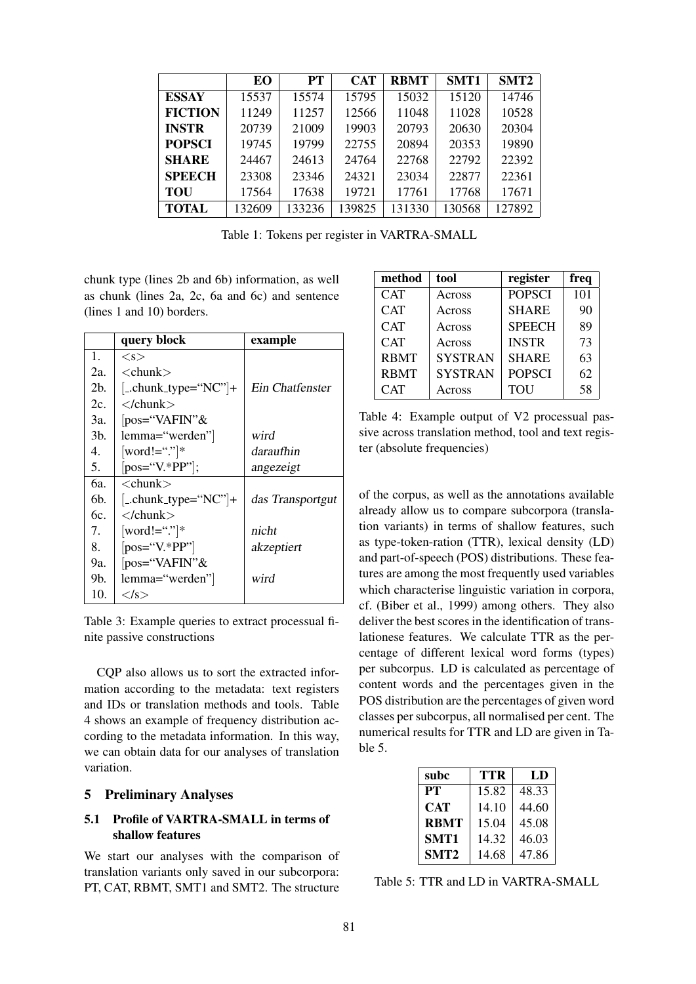|                | EO     | PT     | <b>CAT</b> | <b>RBMT</b> | SMT <sub>1</sub> | SMT <sub>2</sub> |
|----------------|--------|--------|------------|-------------|------------------|------------------|
| <b>ESSAY</b>   | 15537  | 15574  | 15795      | 15032       | 15120            | 14746            |
| <b>FICTION</b> | 11249  | 11257  | 12566      | 11048       | 11028            | 10528            |
| <b>INSTR</b>   | 20739  | 21009  | 19903      | 20793       | 20630            | 20304            |
| <b>POPSCI</b>  | 19745  | 19799  | 22755      | 20894       | 20353            | 19890            |
| <b>SHARE</b>   | 24467  | 24613  | 24764      | 22768       | 22792            | 22392            |
| <b>SPEECH</b>  | 23308  | 23346  | 24321      | 23034       | 22877            | 22361            |
| <b>TOU</b>     | 17564  | 17638  | 19721      | 17761       | 17768            | 17671            |
| <b>TOTAL</b>   | 132609 | 133236 | 139825     | 131330      | 130568           | 127892           |

Table 1: Tokens per register in VARTRA-SMALL

chunk type (lines 2b and 6b) information, as well as chunk (lines 2a, 2c, 6a and 6c) and sentence (lines 1 and 10) borders.

|                | query block                           | example          |
|----------------|---------------------------------------|------------------|
| 1.             | < s                                   |                  |
| 2a.            | $<$ chunk $>$                         |                  |
| 2b.            | $[-\text{chunk_type}="NC"] +$         | Ein Chatfenster  |
| 2c.            | $\langle$ /chunk $>$                  |                  |
| 3a.            | pos="VAFIN"&                          |                  |
| 3 <sub>b</sub> | lemma="werden"]                       | wird             |
| 4.             | $[word!=$ "."                         | daraufhin        |
| 5.             | $[pos="Y.*PP"]$ ;                     | angezeigt        |
| 6а.            | $\langle$ chunk $\rangle$             |                  |
| 6b.            | $\lbrack$ chunk_type="NC" $\rbrack$ + | das Transportgut |
| 6c.            | $\langle$ /chunk $\rangle$            |                  |
| 7.             | $[word!=$ "."                         | nicht            |
| 8.             | $[pos="Y.*PP"]$                       | akzeptiert       |
| 9a.            | pos="VAFIN"&                          |                  |
| 9b.            | lemma="werden"                        | wird             |
| 10.            | $\langle$ /s $>$                      |                  |

Table 3: Example queries to extract processual finite passive constructions

CQP also allows us to sort the extracted information according to the metadata: text registers and IDs or translation methods and tools. Table 4 shows an example of frequency distribution according to the metadata information. In this way, we can obtain data for our analyses of translation variation.

## 5 Preliminary Analyses

## 5.1 Profile of VARTRA-SMALL in terms of shallow features

We start our analyses with the comparison of translation variants only saved in our subcorpora: PT, CAT, RBMT, SMT1 and SMT2. The structure

| method      | tool           | register      | freq |
|-------------|----------------|---------------|------|
| <b>CAT</b>  | Across         | <b>POPSCI</b> | 101  |
| <b>CAT</b>  | Across         | <b>SHARE</b>  | 90   |
| <b>CAT</b>  | Across         | <b>SPEECH</b> | 89   |
| <b>CAT</b>  | Across         | <b>INSTR</b>  | 73   |
| <b>RBMT</b> | <b>SYSTRAN</b> | <b>SHARE</b>  | 63   |
| <b>RBMT</b> | <b>SYSTRAN</b> | <b>POPSCI</b> | 62   |
| <b>CAT</b>  | Across         | TOU           | 58   |

Table 4: Example output of V2 processual passive across translation method, tool and text register (absolute frequencies)

of the corpus, as well as the annotations available already allow us to compare subcorpora (translation variants) in terms of shallow features, such as type-token-ration (TTR), lexical density (LD) and part-of-speech (POS) distributions. These features are among the most frequently used variables which characterise linguistic variation in corpora, cf. (Biber et al., 1999) among others. They also deliver the best scores in the identification of translationese features. We calculate TTR as the percentage of different lexical word forms (types) per subcorpus. LD is calculated as percentage of content words and the percentages given in the POS distribution are the percentages of given word classes per subcorpus, all normalised per cent. The numerical results for TTR and LD are given in Table 5.

| subc             | TTR   | LD    |
|------------------|-------|-------|
| PТ               | 15.82 | 48.33 |
| <b>CAT</b>       | 14.10 | 44.60 |
| <b>RBMT</b>      | 15.04 | 45.08 |
| <b>SMT1</b>      | 14.32 | 46.03 |
| SMT <sub>2</sub> | 14.68 | 47.86 |

Table 5: TTR and LD in VARTRA-SMALL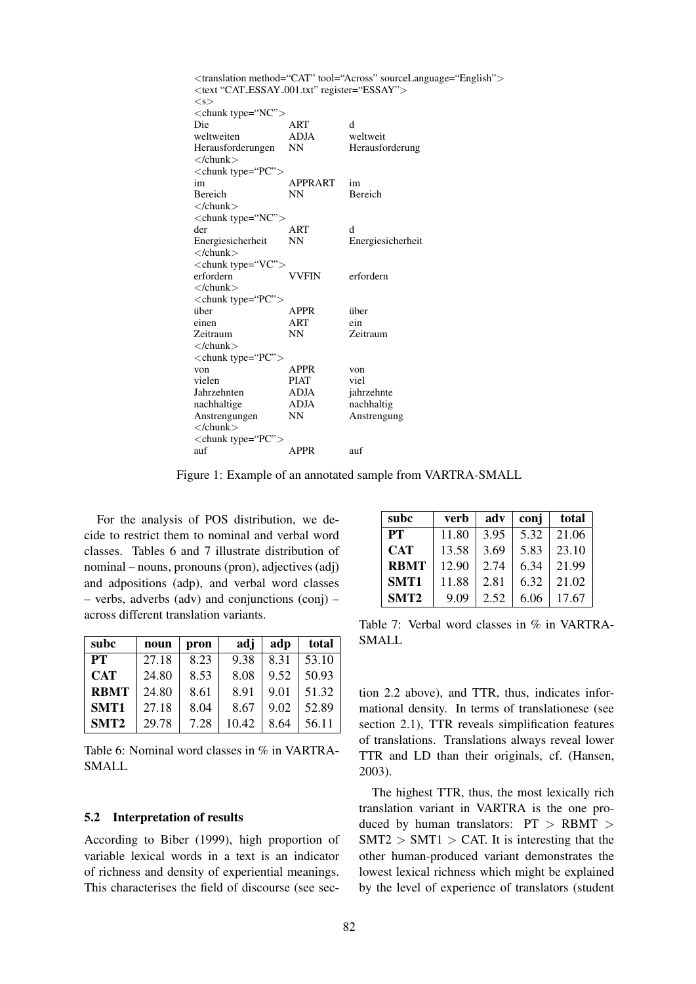|                                                       |             | <translation method="CAT" sourcelanguage="English" tool="Across"></translation> |
|-------------------------------------------------------|-------------|---------------------------------------------------------------------------------|
| <text "cat_essay_001.txt"="" register="ESSAY"></text> |             |                                                                                 |
| < s                                                   |             |                                                                                 |
| <chunk type="NC"></chunk>                             |             |                                                                                 |
| Die                                                   | ART         | d                                                                               |
| weltweiten                                            | ADJA        | weltweit                                                                        |
| Herausforderungen                                     | NN          | Herausforderung                                                                 |
| $\langle$ /chunk $\rangle$                            |             |                                                                                 |
| $\langle$ chunk type="PC">                            |             |                                                                                 |
| im                                                    | APPRART     | im                                                                              |
| <b>Bereich</b><br>$\langle$ /chunk $\rangle$          | NN          | <b>Bereich</b>                                                                  |
| $\langle$ chunk type="NC">                            |             |                                                                                 |
| der                                                   | ART         | d                                                                               |
| Energiesicherheit                                     | NN          | Energiesicherheit                                                               |
| $\langle$ /chunk $\rangle$                            |             |                                                                                 |
| <chunk type="VC"></chunk>                             |             |                                                                                 |
| erfordern                                             | VVFIN       | erfordern                                                                       |
| $\langle$ /chunk $\rangle$                            |             |                                                                                 |
| $\langle$ chunk type="PC">                            |             |                                                                                 |
| über                                                  | <b>APPR</b> | über                                                                            |
| einen                                                 | ART         | ein                                                                             |
| Zeitraum                                              | NN          | Zeitraum                                                                        |
| $\langle$ /chunk $\rangle$                            |             |                                                                                 |
| $\langle$ chunk type="PC">                            |             |                                                                                 |
| von                                                   | <b>APPR</b> | von                                                                             |
| vielen                                                | <b>PIAT</b> | viel                                                                            |
| Jahrzehnten                                           | ADJA        | jahrzehnte                                                                      |
| nachhaltige                                           | ADJA        | nachhaltig                                                                      |
| Anstrengungen                                         | <b>NN</b>   | Anstrengung                                                                     |
| $\langle$ /chunk $\rangle$                            |             |                                                                                 |
| $\langle$ chunk type="PC">                            |             |                                                                                 |
| auf                                                   | <b>APPR</b> | auf                                                                             |

Figure 1: Example of an annotated sample from VARTRA-SMALL

For the analysis of POS distribution, we decide to restrict them to nominal and verbal word classes. Tables 6 and 7 illustrate distribution of nominal – nouns, pronouns (pron), adjectives (adj) and adpositions (adp), and verbal word classes – verbs, adverbs (adv) and conjunctions (conj) – across different translation variants.

| subc             | noun  | pron | adj   | adp  | total |
|------------------|-------|------|-------|------|-------|
| <b>PT</b>        | 27.18 | 8.23 | 9.38  | 8.31 | 53.10 |
| <b>CAT</b>       | 24.80 | 8.53 | 8.08  | 9.52 | 50.93 |
| <b>RBMT</b>      | 24.80 | 8.61 | 8.91  | 9.01 | 51.32 |
| SMT1             | 27.18 | 8.04 | 8.67  | 9.02 | 52.89 |
| SMT <sub>2</sub> | 29.78 | 7.28 | 10.42 | 8.64 | 56.11 |

Table 6: Nominal word classes in % in VARTRA-SMALL

#### 5.2 Interpretation of results

According to Biber (1999), high proportion of variable lexical words in a text is an indicator of richness and density of experiential meanings. This characterises the field of discourse (see sec-

| subc             | verb  | adv  | conj | total |
|------------------|-------|------|------|-------|
| <b>PT</b>        | 11.80 | 3.95 | 5.32 | 21.06 |
| <b>CAT</b>       | 13.58 | 3.69 | 5.83 | 23.10 |
| <b>RBMT</b>      | 12.90 | 2.74 | 6.34 | 21.99 |
| SMT1             | 11.88 | 2.81 | 6.32 | 21.02 |
| SMT <sub>2</sub> | 9.09  | 2.52 | 6.06 | 17.67 |

Table 7: Verbal word classes in % in VARTRA-SMALL

tion 2.2 above), and TTR, thus, indicates informational density. In terms of translationese (see section 2.1), TTR reveals simplification features of translations. Translations always reveal lower TTR and LD than their originals, cf. (Hansen, 2003).

The highest TTR, thus, the most lexically rich translation variant in VARTRA is the one produced by human translators: PT > RBMT >  $SMT2 > SMT1 > CAT$ . It is interesting that the other human-produced variant demonstrates the lowest lexical richness which might be explained by the level of experience of translators (student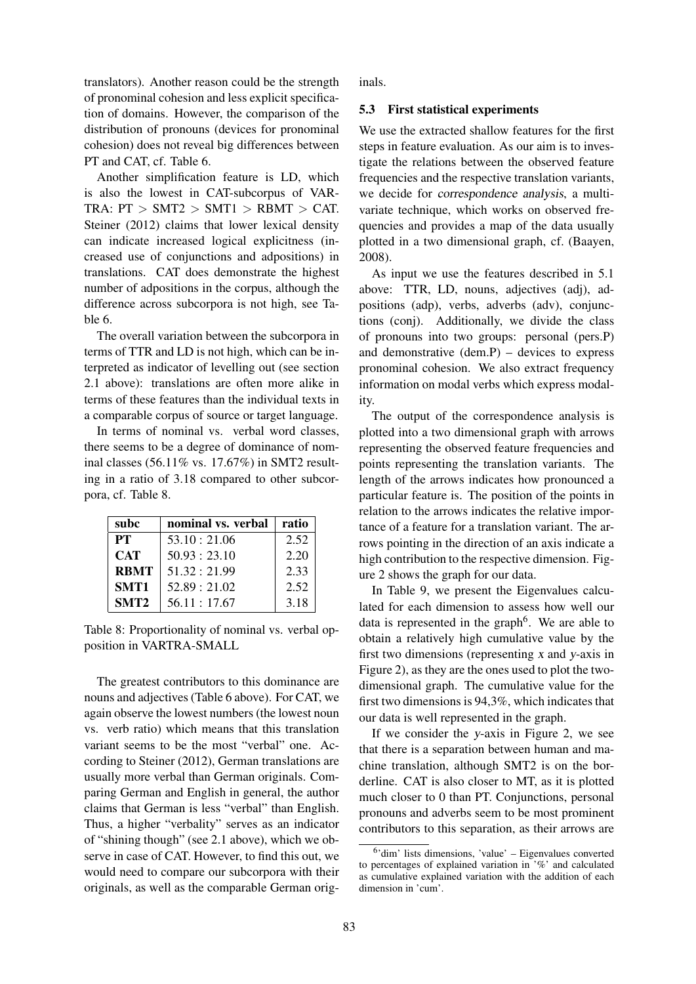translators). Another reason could be the strength of pronominal cohesion and less explicit specification of domains. However, the comparison of the distribution of pronouns (devices for pronominal cohesion) does not reveal big differences between PT and CAT, cf. Table 6.

Another simplification feature is LD, which is also the lowest in CAT-subcorpus of VAR-TRA:  $PT > SMT2 > SMT1 > RBMT > CAT$ . Steiner (2012) claims that lower lexical density can indicate increased logical explicitness (increased use of conjunctions and adpositions) in translations. CAT does demonstrate the highest number of adpositions in the corpus, although the difference across subcorpora is not high, see Table 6.

The overall variation between the subcorpora in terms of TTR and LD is not high, which can be interpreted as indicator of levelling out (see section 2.1 above): translations are often more alike in terms of these features than the individual texts in a comparable corpus of source or target language.

In terms of nominal vs. verbal word classes, there seems to be a degree of dominance of nominal classes (56.11% vs. 17.67%) in SMT2 resulting in a ratio of 3.18 compared to other subcorpora, cf. Table 8.

| subc             | nominal vs. verbal | ratio |
|------------------|--------------------|-------|
| <b>PT</b>        | 53.10:21.06        | 2.52  |
| <b>CAT</b>       | 50.93:23.10        | 2.20  |
| <b>RBMT</b>      | 51.32:21.99        | 2.33  |
| SMT <sub>1</sub> | 52.89:21.02        | 2.52  |
| SMT <sub>2</sub> | 56.11:17.67        | 3.18  |

Table 8: Proportionality of nominal vs. verbal opposition in VARTRA-SMALL

The greatest contributors to this dominance are nouns and adjectives (Table 6 above). For CAT, we again observe the lowest numbers (the lowest noun vs. verb ratio) which means that this translation variant seems to be the most "verbal" one. According to Steiner (2012), German translations are usually more verbal than German originals. Comparing German and English in general, the author claims that German is less "verbal" than English. Thus, a higher "verbality" serves as an indicator of "shining though" (see 2.1 above), which we observe in case of CAT. However, to find this out, we would need to compare our subcorpora with their originals, as well as the comparable German originals.

#### 5.3 First statistical experiments

We use the extracted shallow features for the first steps in feature evaluation. As our aim is to investigate the relations between the observed feature frequencies and the respective translation variants, we decide for correspondence analysis, a multivariate technique, which works on observed frequencies and provides a map of the data usually plotted in a two dimensional graph, cf. (Baayen, 2008).

As input we use the features described in 5.1 above: TTR, LD, nouns, adjectives (adj), adpositions (adp), verbs, adverbs (adv), conjunctions (conj). Additionally, we divide the class of pronouns into two groups: personal (pers.P) and demonstrative  $(dem.P)$  – devices to express pronominal cohesion. We also extract frequency information on modal verbs which express modality.

The output of the correspondence analysis is plotted into a two dimensional graph with arrows representing the observed feature frequencies and points representing the translation variants. The length of the arrows indicates how pronounced a particular feature is. The position of the points in relation to the arrows indicates the relative importance of a feature for a translation variant. The arrows pointing in the direction of an axis indicate a high contribution to the respective dimension. Figure 2 shows the graph for our data.

In Table 9, we present the Eigenvalues calculated for each dimension to assess how well our data is represented in the graph<sup>6</sup>. We are able to obtain a relatively high cumulative value by the first two dimensions (representing x and y-axis in Figure 2), as they are the ones used to plot the twodimensional graph. The cumulative value for the first two dimensions is 94,3%, which indicates that our data is well represented in the graph.

If we consider the y-axis in Figure 2, we see that there is a separation between human and machine translation, although SMT2 is on the borderline. CAT is also closer to MT, as it is plotted much closer to 0 than PT. Conjunctions, personal pronouns and adverbs seem to be most prominent contributors to this separation, as their arrows are

<sup>&</sup>lt;sup>6</sup>'dim' lists dimensions, 'value' - Eigenvalues converted to percentages of explained variation in  $\mathscr{C}$  and calculated as cumulative explained variation with the addition of each dimension in 'cum'.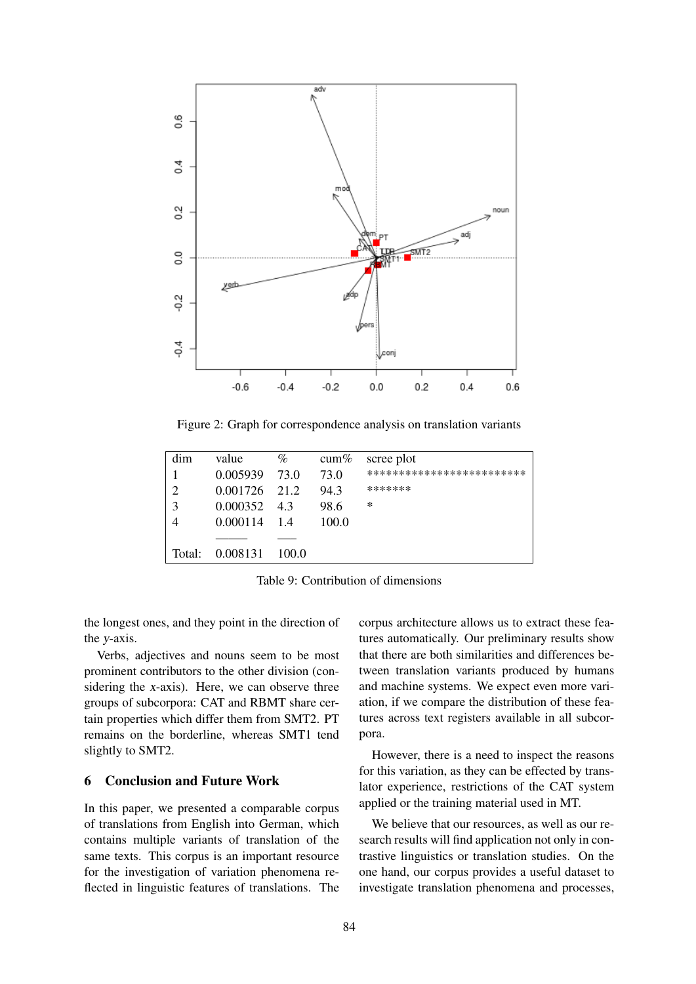

Figure 2: Graph for correspondence analysis on translation variants

| value    | $\%$  | cum%  | scree plot                |
|----------|-------|-------|---------------------------|
| 0.005939 | 73.0  | 73.0  | ************************* |
| 0.001726 | 21.2  | 94.3  | *******                   |
| 0.000352 | 4.3   | 98.6  | ∗                         |
| 0.000114 | 14    | 100.0 |                           |
|          |       |       |                           |
| 0.008131 | 100.0 |       |                           |
|          |       |       |                           |

Table 9: Contribution of dimensions

the longest ones, and they point in the direction of the y-axis.

Verbs, adjectives and nouns seem to be most prominent contributors to the other division (considering the x-axis). Here, we can observe three groups of subcorpora: CAT and RBMT share certain properties which differ them from SMT2. PT remains on the borderline, whereas SMT1 tend slightly to SMT2.

### 6 Conclusion and Future Work

In this paper, we presented a comparable corpus of translations from English into German, which contains multiple variants of translation of the same texts. This corpus is an important resource for the investigation of variation phenomena reflected in linguistic features of translations. The corpus architecture allows us to extract these features automatically. Our preliminary results show that there are both similarities and differences between translation variants produced by humans and machine systems. We expect even more variation, if we compare the distribution of these features across text registers available in all subcorpora.

However, there is a need to inspect the reasons for this variation, as they can be effected by translator experience, restrictions of the CAT system applied or the training material used in MT.

We believe that our resources, as well as our research results will find application not only in contrastive linguistics or translation studies. On the one hand, our corpus provides a useful dataset to investigate translation phenomena and processes,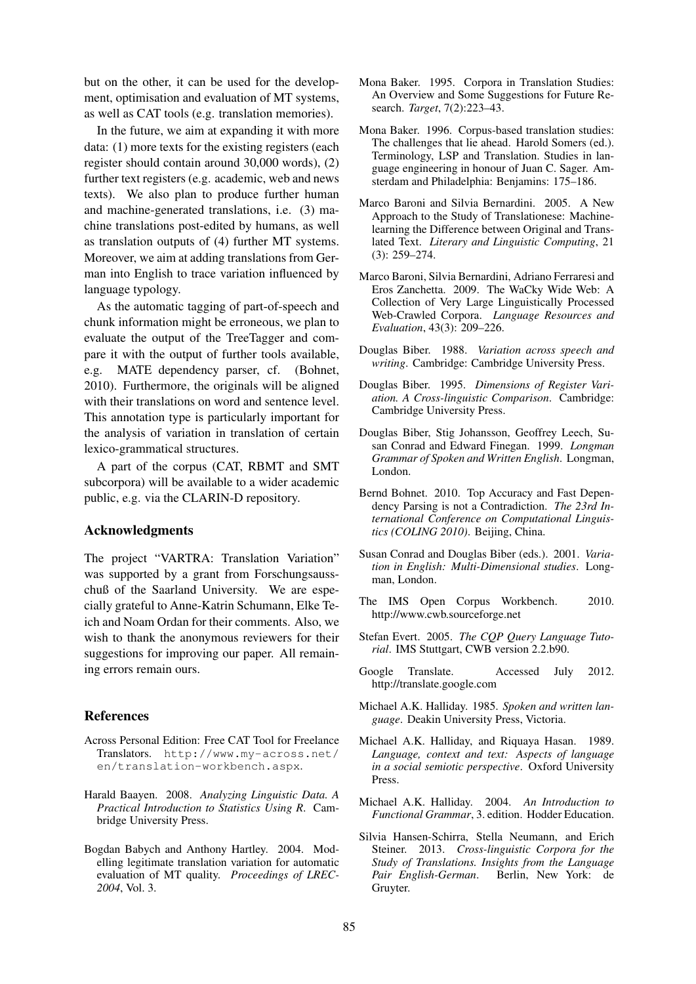but on the other, it can be used for the development, optimisation and evaluation of MT systems, as well as CAT tools (e.g. translation memories).

In the future, we aim at expanding it with more data: (1) more texts for the existing registers (each register should contain around 30,000 words), (2) further text registers (e.g. academic, web and news texts). We also plan to produce further human and machine-generated translations, i.e. (3) machine translations post-edited by humans, as well as translation outputs of (4) further MT systems. Moreover, we aim at adding translations from German into English to trace variation influenced by language typology.

As the automatic tagging of part-of-speech and chunk information might be erroneous, we plan to evaluate the output of the TreeTagger and compare it with the output of further tools available, e.g. MATE dependency parser, cf. (Bohnet, 2010). Furthermore, the originals will be aligned with their translations on word and sentence level. This annotation type is particularly important for the analysis of variation in translation of certain lexico-grammatical structures.

A part of the corpus (CAT, RBMT and SMT subcorpora) will be available to a wider academic public, e.g. via the CLARIN-D repository.

#### Acknowledgments

The project "VARTRA: Translation Variation" was supported by a grant from Forschungsausschuß of the Saarland University. We are especially grateful to Anne-Katrin Schumann, Elke Teich and Noam Ordan for their comments. Also, we wish to thank the anonymous reviewers for their suggestions for improving our paper. All remaining errors remain ours.

#### References

- Across Personal Edition: Free CAT Tool for Freelance Translators. http://www.my-across.net/ en/translation-workbench.aspx.
- Harald Baayen. 2008. *Analyzing Linguistic Data. A Practical Introduction to Statistics Using R*. Cambridge University Press.
- Bogdan Babych and Anthony Hartley. 2004. Modelling legitimate translation variation for automatic evaluation of MT quality. *Proceedings of LREC-2004*, Vol. 3.
- Mona Baker. 1995. Corpora in Translation Studies: An Overview and Some Suggestions for Future Research. *Target*, 7(2):223–43.
- Mona Baker. 1996. Corpus-based translation studies: The challenges that lie ahead. Harold Somers (ed.). Terminology, LSP and Translation. Studies in language engineering in honour of Juan C. Sager. Amsterdam and Philadelphia: Benjamins: 175–186.
- Marco Baroni and Silvia Bernardini. 2005. A New Approach to the Study of Translationese: Machinelearning the Difference between Original and Translated Text. *Literary and Linguistic Computing*, 21 (3): 259–274.
- Marco Baroni, Silvia Bernardini, Adriano Ferraresi and Eros Zanchetta. 2009. The WaCky Wide Web: A Collection of Very Large Linguistically Processed Web-Crawled Corpora. *Language Resources and Evaluation*, 43(3): 209–226.
- Douglas Biber. 1988. *Variation across speech and writing*. Cambridge: Cambridge University Press.
- Douglas Biber. 1995. *Dimensions of Register Variation. A Cross-linguistic Comparison*. Cambridge: Cambridge University Press.
- Douglas Biber, Stig Johansson, Geoffrey Leech, Susan Conrad and Edward Finegan. 1999. *Longman Grammar of Spoken and Written English*. Longman, London.
- Bernd Bohnet. 2010. Top Accuracy and Fast Dependency Parsing is not a Contradiction. *The 23rd International Conference on Computational Linguistics (COLING 2010)*. Beijing, China.
- Susan Conrad and Douglas Biber (eds.). 2001. *Variation in English: Multi-Dimensional studies*. Longman, London.
- The IMS Open Corpus Workbench. 2010. http://www.cwb.sourceforge.net
- Stefan Evert. 2005. *The CQP Query Language Tutorial*. IMS Stuttgart, CWB version 2.2.b90.
- Google Translate. Accessed July 2012. http://translate.google.com
- Michael A.K. Halliday. 1985. *Spoken and written language*. Deakin University Press, Victoria.
- Michael A.K. Halliday, and Riquaya Hasan. 1989. *Language, context and text: Aspects of language in a social semiotic perspective*. Oxford University Press.
- Michael A.K. Halliday. 2004. *An Introduction to Functional Grammar*, 3. edition. Hodder Education.
- Silvia Hansen-Schirra, Stella Neumann, and Erich Steiner. 2013. *Cross-linguistic Corpora for the Study of Translations. Insights from the Language Pair English-German*. Berlin, New York: de Gruyter.